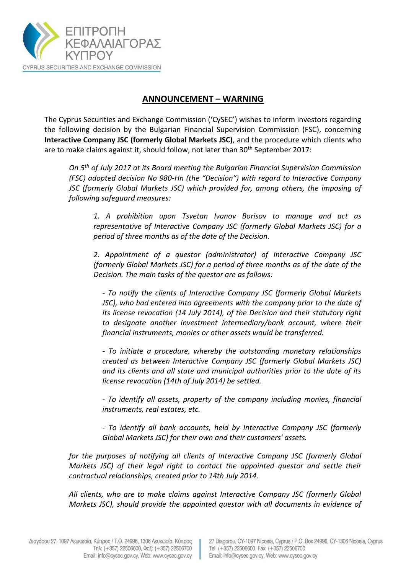

## **ANNOUNCEMENT – WARNING**

The Cyprus Securities and Exchange Commission ('CySEC') wishes to inform investors regarding the following decision by the Bulgarian Financial Supervision Commission (FSC), concerning **Interactive Company JSC (formerly Global Markets JSC)**, and the procedure which clients who are to make claims against it, should follow, not later than 30<sup>th</sup> September 2017:

*On 5th of July 2017 at its Board meeting the Bulgarian Financial Supervision Commission (FSC) adopted decision No 980-Hn (the "Decision") with regard to Interactive Company JSC (formerly Global Markets JSC) which provided for, among others, the imposing of following safeguard measures:*

*1. A prohibition upon Tsvetan Ivanov Borisov to manage and act as representative of Interactive Company JSC (formerly Global Markets JSC) for a period of three months as of the date of the Decision.*

*2. Appointment of a questor (administrator) of Interactive Company JSC (formerly Global Markets JSC) for a period of three months as of the date of the Decision. The main tasks of the questor are as follows:*

*- To notify the clients of Interactive Company JSC (formerly Global Markets JSC), who had entered into agreements with the company prior to the date of its license revocation (14 July 2014), of the Decision and their statutory right to designate another investment intermediary/bank account, where their financial instruments, monies or other assets would be transferred.*

*- To initiate a procedure, whereby the outstanding monetary relationships created as between Interactive Company JSC (formerly Global Markets JSC) and its clients and all state and municipal authorities prior to the date of its license revocation (14th of July 2014) be settled.*

*- To identify all assets, property of the company including monies, financial instruments, real estates, etc.*

*- To identify all bank accounts, held by Interactive Company JSC (formerly Global Markets JSC) for their own and their customers' assets.*

*for the purposes of notifying all clients of Interactive Company JSC (formerly Global Markets JSC) of their legal right to contact the appointed questor and settle their contractual relationships, created prior to 14th July 2014.* 

*All clients, who are to make claims against Interactive Company JSC (formerly Global Markets JSC), should provide the appointed questor with all documents in evidence of*